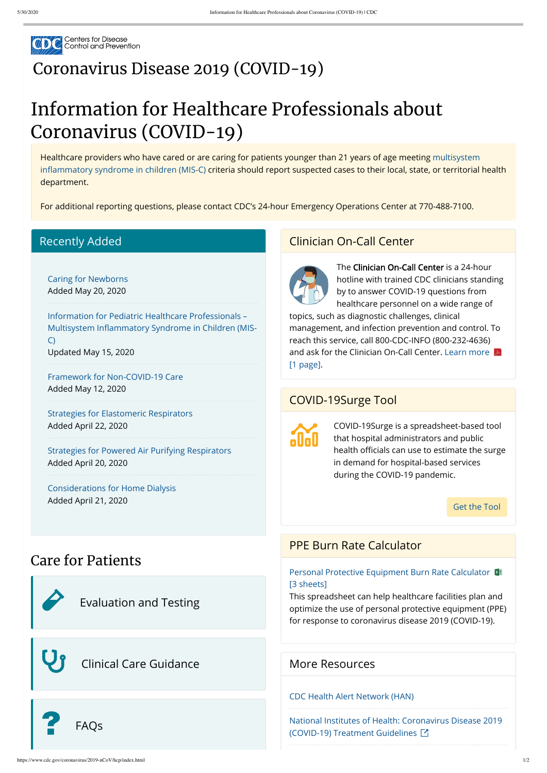

# [Coronavirus](https://www.cdc.gov/coronavirus/2019-nCoV/index.html) Disease 2019 (COVID-19)

# Information for Healthcare Professionals about Coronavirus (COVID-19)

[Healthcare providers who have cared or are caring for patients younger than 21 years of age meeting multisystem](https://www.cdc.gov/coronavirus/2019-ncov/hcp/pediatric-hcp.html#anchor_1589580133375) inflammatory syndrome in children (MIS-C) criteria should report suspected cases to their local, state, or territorial health department.

For additional reporting questions, please contact CDC's 24-hour Emergency Operations Center at 770-488-7100.

## Care for Patients

#### Recently Added

#### [Caring for Newborns](https://www.cdc.gov/coronavirus/2019-ncov/hcp/caring-for-newborns.html) Added May 20, 2020

Information for Pediatric Healthcare Professionals – Multisystem Inflammatory Syndrome in Children (MIS-C) Updated May 15, 2020

[Framework for Non-COVID-19 Care](https://www.cdc.gov/coronavirus/2019-ncov/hcp/framework-non-COVID-care.html) Added May 12, 2020

[Strategies for Elastomeric Respirators](https://www.cdc.gov/coronavirus/2019-ncov/hcp/elastomeric-respirators-strategy/index.html) Added April 22, 2020

[Strategies for Powered Air Purifying Respirators](https://www.cdc.gov/coronavirus/2019-ncov/hcp/ppe-strategy/powered-air-purifying-respirators-strategy.html) Added April 20, 2020

[Considerations for Home Dialysis](https://www.cdc.gov/coronavirus/2019-ncov/hcp/dialysis/home-dialysis.html) Added April 21, 2020

## [Evaluation](https://www.cdc.gov/coronavirus/2019-nCoV/hcp/clinical-criteria.html) and Testing

# Clinical Care [Guidance](https://www.cdc.gov/coronavirus/2019-ncov/hcp/clinical-care.html)



### Clinician On-Call Center



The Clinician On-Call Center is a 24-hour hotline with trained CDC clinicians standing by to answer COVID-19 questions from healthcare personnel on a wide range of

topics, such as diagnostic challenges, clinical management, and infection prevention and control. To reach this service, call 800-CDC-INFO (800-232-4636) [and ask for the Clinician On-Call Center. Learn more](https://www.cdc.gov/coronavirus/2019-ncov/downloads/hcp/Clinician-On-Call-Center-508.pdf)  $|\mathcal{F}|$ [1 page].

## COVID-19Surge Tool



COVID-19Surge is a spreadsheet-based tool that hospital administrators and public health officials can use to estimate the surge in demand for hospital-based services during the COVID-19 pandemic.

[Get the Tool](https://www.cdc.gov/coronavirus/2019-ncov/hcp/COVIDSurge.html)

### PPE Burn Rate Calculator

Personal Protective Equipment Burn Rate Calculator



#### [3 sheets]

This spreadsheet can help healthcare facilities plan and optimize the use of personal protective equipment (PPE) for response to coronavirus disease 2019 (COVID-19).

#### More Resources

#### [CDC Health Alert Network \(HAN\)](https://emergency.cdc.gov/han/)

[National Institutes of Health: Coronavirus Disease 2019](https://covid19treatmentguidelines.nih.gov/introduction/) (COVID-19) Treatment Guidelines